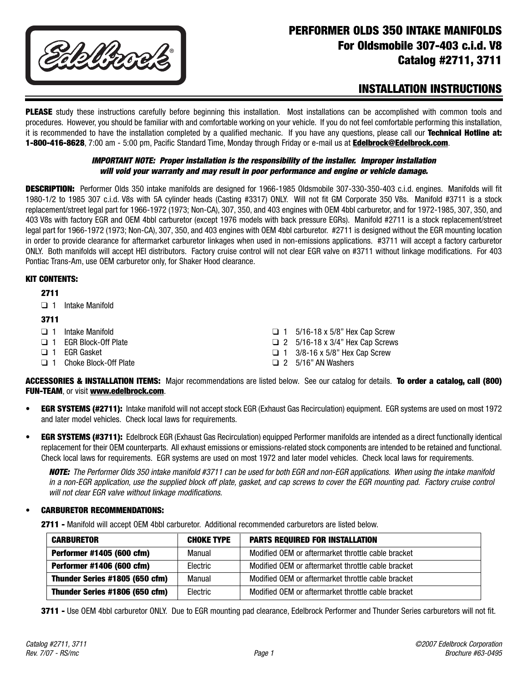

# **PERFORMER OLDS 350 INTAKE MANIFOLDS For Oldsmobile 307-403 c.i.d. V8 Catalog #2711, 3711**

# **INSTALLATION INSTRUCTIONS**

**PLEASE** study these instructions carefully before beginning this installation. Most installations can be accomplished with common tools and procedures. However, you should be familiar with and comfortable working on your vehicle. If you do not feel comfortable performing this installation, it is recommended to have the installation completed by a qualified mechanic. If you have any questions, please call our **Technical Hotline at: 1-800-416-8628**, 7:00 am - 5:00 pm, Pacific Standard Time, Monday through Friday or e-mail us at **Edelbrock@Edelbrock.com**.

#### **IMPORTANT NOTE: Proper installation is the responsibility of the installer. Improper installation will void your warranty and may result in poor performance and engine or vehicle damage.**

**DESCRIPTION:** Performer Olds 350 intake manifolds are designed for 1966-1985 Oldsmobile 307-330-350-403 c.i.d. engines. Manifolds will fit 1980-1/2 to 1985 307 c.i.d. V8s with 5A cylinder heads (Casting #3317) ONLY. Will not fit GM Corporate 350 V8s. Manifold #3711 is a stock replacement/street legal part for 1966-1972 (1973; Non-CA), 307, 350, and 403 engines with OEM 4bbl carburetor, and for 1972-1985, 307, 350, and 403 V8s with factory EGR and OEM 4bbl carburetor (except 1976 models with back pressure EGRs). Manifold #2711 is a stock replacement/street legal part for 1966-1972 (1973; Non-CA), 307, 350, and 403 engines with OEM 4bbl carburetor. #2711 is designed without the EGR mounting location in order to provide clearance for aftermarket carburetor linkages when used in non-emissions applications. #3711 will accept a factory carburetor ONLY. Both manifolds will accept HEI distributors. Factory cruise control will not clear EGR valve on #3711 without linkage modifications. For 403 Pontiac Trans-Am, use OEM carburetor only, for Shaker Hood clearance.

#### **KIT CONTENTS:**

#### **2711**

❑ 1 Intake Manifold

#### **3711**

- ❑ 1 Intake Manifold
- ❑ 1 EGR Block-Off Plate
- ❑ 1 EGR Gasket
- ❑ 1 Choke Block-Off Plate
- ❑ 1 5/16-18 x 5/8" Hex Cap Screw
- ❑ 2 5/16-18 x 3/4" Hex Cap Screws
- $\Box$  1 3/8-16 x 5/8" Hex Cap Screw
- $\Box$  2 5/16" AN Washers

**ACCESSORIES & INSTALLATION ITEMS:** Major recommendations are listed below. See our catalog for details. **To order a catalog, call (800) FUN-TEAM**, or visit **www.edelbrock.com**.

- **EGR SYSTEMS (#2711):** Intake manifold will not accept stock EGR (Exhaust Gas Recirculation) equipment. EGR systems are used on most 1972 and later model vehicles. Check local laws for requirements.
- **EGR SYSTEMS (#3711):** Edelbrock EGR (Exhaust Gas Recirculation) equipped Performer manifolds are intended as a direct functionally identical replacement for their OEM counterparts. All exhaust emissions or emissions-related stock components are intended to be retained and functional. Check local laws for requirements. EGR systems are used on most 1972 and later model vehicles. Check local laws for requirements.

**NOTE:** The Performer Olds 350 intake manifold #3711 can be used for both EGR and non-EGR applications. When using the intake manifold in a non-EGR application, use the supplied block off plate, gasket, and cap screws to cover the EGR mounting pad. Factory cruise control will not clear EGR valve without linkage modifications.

### **• CARBURETOR RECOMMENDATIONS:**

**2711 -** Manifold will accept OEM 4bbl carburetor. Additional recommended carburetors are listed below.

| <b>CARBURETOR</b>              | <b>CHOKE TYPE</b> | <b>PARTS REQUIRED FOR INSTALLATION</b>             |
|--------------------------------|-------------------|----------------------------------------------------|
| Performer #1405 (600 cfm)      | Manual            | Modified OEM or aftermarket throttle cable bracket |
| Performer #1406 (600 cfm)      | Electric          | Modified OEM or aftermarket throttle cable bracket |
| Thunder Series #1805 (650 cfm) | Manual            | Modified OEM or aftermarket throttle cable bracket |
| Thunder Series #1806 (650 cfm) | Electric          | Modified OEM or aftermarket throttle cable bracket |

**3711 -** Use OEM 4bbl carburetor ONLY. Due to EGR mounting pad clearance, Edelbrock Performer and Thunder Series carburetors will not fit.